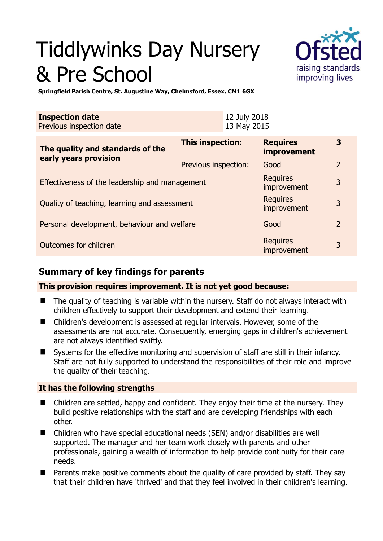# Tiddlywinks Day Nursery & Pre School



**3** 

nequires 3<br>improvement 3

kequites<br>improvement 3

**Springfield Parish Centre, St. Augustine Way, Chelmsford, Essex, CM1 6GX** 

| <b>Inspection date</b><br>Previous inspection date        |                         | 12 July 2018<br>13 May 2015 |                                |   |
|-----------------------------------------------------------|-------------------------|-----------------------------|--------------------------------|---|
| The quality and standards of the<br>early years provision | <b>This inspection:</b> |                             | <b>Requires</b><br>improvement |   |
|                                                           | Previous inspection:    |                             | Good                           |   |
| Effectiveness of the leadership and management            |                         |                             | <b>Requires</b><br>improvement | 3 |

Quality of teaching, learning and assessment

Personal development, behaviour and welfare Good Constantine Good 2

# Outcomes for children Requires

# **Summary of key findings for parents**

**This provision requires improvement. It is not yet good because:** 

- The quality of teaching is variable within the nursery. Staff do not always interact with children effectively to support their development and extend their learning.
- Children's development is assessed at regular intervals. However, some of the assessments are not accurate. Consequently, emerging gaps in children's achievement are not always identified swiftly.
- Systems for the effective monitoring and supervision of staff are still in their infancy. Staff are not fully supported to understand the responsibilities of their role and improve the quality of their teaching.

#### **It has the following strengths**

- Children are settled, happy and confident. They enjoy their time at the nursery. They build positive relationships with the staff and are developing friendships with each other.
- Children who have special educational needs (SEN) and/or disabilities are well supported. The manager and her team work closely with parents and other professionals, gaining a wealth of information to help provide continuity for their care needs.
- $\blacksquare$  Parents make positive comments about the quality of care provided by staff. They say that their children have 'thrived' and that they feel involved in their children's learning.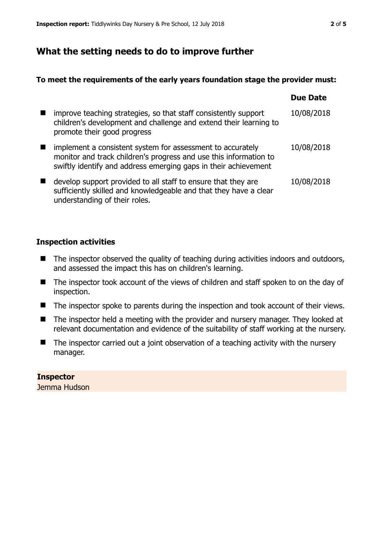## **What the setting needs to do to improve further**

#### **To meet the requirements of the early years foundation stage the provider must:**

|                                                                                                                                                                                                    | <b>Due Date</b> |
|----------------------------------------------------------------------------------------------------------------------------------------------------------------------------------------------------|-----------------|
| improve teaching strategies, so that staff consistently support<br>children's development and challenge and extend their learning to<br>promote their good progress                                | 10/08/2018      |
| implement a consistent system for assessment to accurately<br>monitor and track children's progress and use this information to<br>swiftly identify and address emerging gaps in their achievement | 10/08/2018      |
| develop support provided to all staff to ensure that they are<br>sufficiently skilled and knowledgeable and that they have a clear<br>understanding of their roles.                                | 10/08/2018      |

#### **Inspection activities**

- The inspector observed the quality of teaching during activities indoors and outdoors, and assessed the impact this has on children's learning.
- The inspector took account of the views of children and staff spoken to on the day of inspection.
- The inspector spoke to parents during the inspection and took account of their views.
- The inspector held a meeting with the provider and nursery manager. They looked at relevant documentation and evidence of the suitability of staff working at the nursery.
- $\blacksquare$  The inspector carried out a joint observation of a teaching activity with the nursery manager.

#### **Inspector**  Jemma Hudson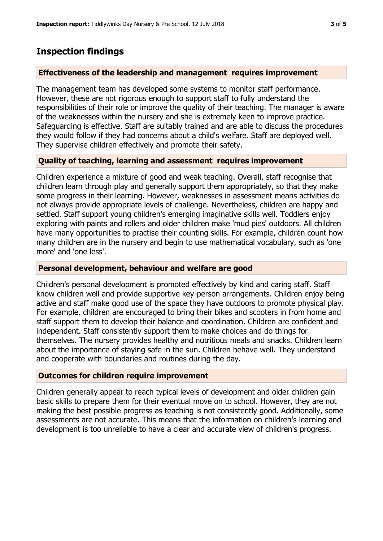# **Inspection findings**

#### **Effectiveness of the leadership and management requires improvement**

The management team has developed some systems to monitor staff performance. However, these are not rigorous enough to support staff to fully understand the responsibilities of their role or improve the quality of their teaching. The manager is aware of the weaknesses within the nursery and she is extremely keen to improve practice. Safeguarding is effective. Staff are suitably trained and are able to discuss the procedures they would follow if they had concerns about a child's welfare. Staff are deployed well. They supervise children effectively and promote their safety.

#### **Quality of teaching, learning and assessment requires improvement**

Children experience a mixture of good and weak teaching. Overall, staff recognise that children learn through play and generally support them appropriately, so that they make some progress in their learning. However, weaknesses in assessment means activities do not always provide appropriate levels of challenge. Nevertheless, children are happy and settled. Staff support young children's emerging imaginative skills well. Toddlers enjoy exploring with paints and rollers and older children make 'mud pies' outdoors. All children have many opportunities to practise their counting skills. For example, children count how many children are in the nursery and begin to use mathematical vocabulary, such as 'one more' and 'one less'.

#### **Personal development, behaviour and welfare are good**

Children's personal development is promoted effectively by kind and caring staff. Staff know children well and provide supportive key-person arrangements. Children enjoy being active and staff make good use of the space they have outdoors to promote physical play. For example, children are encouraged to bring their bikes and scooters in from home and staff support them to develop their balance and coordination. Children are confident and independent. Staff consistently support them to make choices and do things for themselves. The nursery provides healthy and nutritious meals and snacks. Children learn about the importance of staying safe in the sun. Children behave well. They understand and cooperate with boundaries and routines during the day.

#### **Outcomes for children require improvement**

Children generally appear to reach typical levels of development and older children gain basic skills to prepare them for their eventual move on to school. However, they are not making the best possible progress as teaching is not consistently good. Additionally, some assessments are not accurate. This means that the information on children's learning and development is too unreliable to have a clear and accurate view of children's progress.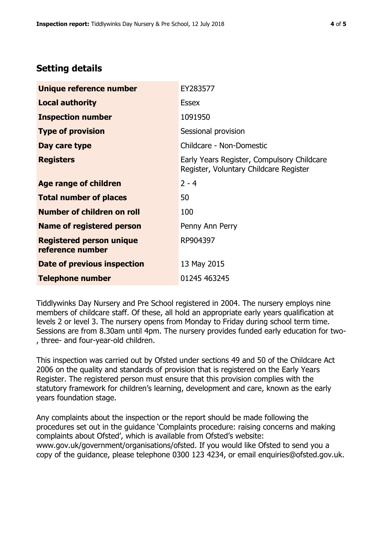### **Setting details**

| Unique reference number                             | EY283577                                                                             |
|-----------------------------------------------------|--------------------------------------------------------------------------------------|
| <b>Local authority</b>                              | <b>Essex</b>                                                                         |
| <b>Inspection number</b>                            | 1091950                                                                              |
| <b>Type of provision</b>                            | Sessional provision                                                                  |
| Day care type                                       | Childcare - Non-Domestic                                                             |
| <b>Registers</b>                                    | Early Years Register, Compulsory Childcare<br>Register, Voluntary Childcare Register |
| Age range of children                               | $2 - 4$                                                                              |
| <b>Total number of places</b>                       | 50                                                                                   |
| Number of children on roll                          | 100                                                                                  |
| Name of registered person                           | Penny Ann Perry                                                                      |
| <b>Registered person unique</b><br>reference number | RP904397                                                                             |
| Date of previous inspection                         | 13 May 2015                                                                          |
| <b>Telephone number</b>                             | 01245 463245                                                                         |

Tiddlywinks Day Nursery and Pre School registered in 2004. The nursery employs nine members of childcare staff. Of these, all hold an appropriate early years qualification at levels 2 or level 3. The nursery opens from Monday to Friday during school term time. Sessions are from 8.30am until 4pm. The nursery provides funded early education for two- , three- and four-year-old children.

This inspection was carried out by Ofsted under sections 49 and 50 of the Childcare Act 2006 on the quality and standards of provision that is registered on the Early Years Register. The registered person must ensure that this provision complies with the statutory framework for children's learning, development and care, known as the early years foundation stage.

Any complaints about the inspection or the report should be made following the procedures set out in the guidance 'Complaints procedure: raising concerns and making complaints about Ofsted', which is available from Ofsted's website: www.gov.uk/government/organisations/ofsted. If you would like Ofsted to send you a copy of the guidance, please telephone 0300 123 4234, or email enquiries@ofsted.gov.uk.